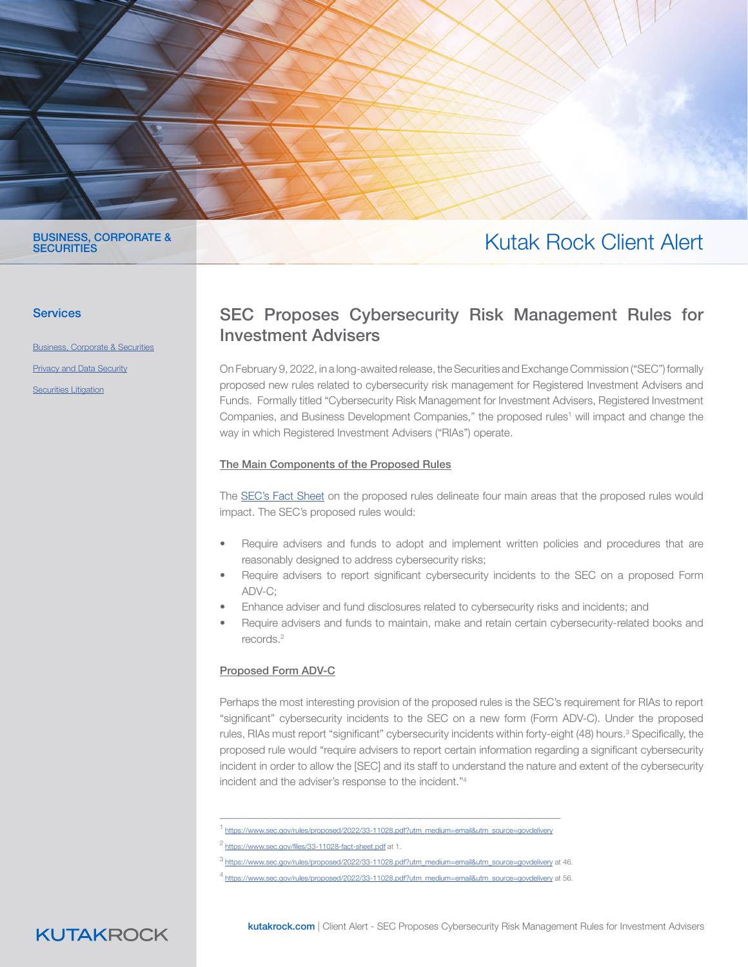

#### BUSINESS, CORPORATE & **SECURITIES**

#### **Services**

[Business, Corporate & Securities](https://www.kutakrock.com/services/practices/business-corporate-and-securities) [Privacy and Data Security](https://www.kutakrock.com/services/practices/privacy-data-security) **[Securities](https://www.kutakrock.com/services/practices/litigation/securities-litigation) Litigation** 

# Kutak Rock Client Alert

### SEC Proposes Cybersecurity Risk Management Rules for Investment Advisers

On February 9, 2022, in a long-awaited release, the Securities and Exchange Commission ("SEC") formally proposed new rules related to cybersecurity risk management for Registered Investment Advisers and Funds. Formally titled "Cybersecurity Risk Management for Investment Advisers, Registered Investment Companies, and Business Development Companies," the proposed rules<sup>1</sup> will impact and change the way in which Registered Investment Advisers ("RIAs") operate.

#### The Main Components of the Proposed Rules

The [SEC's Fact Sheet](https://www.sec.gov/files/33-11028-fact-sheet.pdf) on the proposed rules delineate four main areas that the proposed rules would impact. The SEC's proposed rules would:

- Require advisers and funds to adopt and implement written policies and procedures that are reasonably designed to address cybersecurity risks;
- Require advisers to report significant cybersecurity incidents to the SEC on a proposed Form ADV-C;
- Enhance adviser and fund disclosures related to cybersecurity risks and incidents; and
- Require advisers and funds to maintain, make and retain certain cybersecurity-related books and records.2

#### Proposed Form ADV-C

Perhaps the most interesting provision of the proposed rules is the SEC's requirement for RIAs to report "significant" cybersecurity incidents to the SEC on a new form (Form ADV-C). Under the proposed rules, RIAs must report "significant" cybersecurity incidents within forty-eight (48) hours.<sup>3</sup> Specifically, the proposed rule would "require advisers to report certain information regarding a significant cybersecurity incident in order to allow the [SEC] and its staff to understand the nature and extent of the cybersecurity incident and the adviser's response to the incident."4

**KUTAKROCK** 

kutakrock.com | Client Alert - SEC Proposes Cybersecurity Risk Management Rules for Investment Advisers

\_\_\_\_\_\_\_\_\_\_\_\_\_\_\_\_\_\_\_\_\_\_\_\_\_\_\_\_\_\_\_\_\_\_\_\_\_\_\_\_\_\_\_\_\_\_\_\_\_\_\_\_\_\_\_\_\_\_\_\_\_\_ <sup>1</sup> [https://www.sec.gov/rules/proposed/2022/33-11028.pdf?utm\\_medium=email&utm\\_source=govdelivery](https://www.sec.gov/rules/proposed/2022/33-11028.pdf?utm_medium=email&utm_source=govdelivery)

<sup>2</sup><https://www.sec.gov/files/33-11028-fact-sheet.pdf>at 1.

<sup>3</sup> [https://www.sec.gov/rules/proposed/2022/33-11028.pdf?utm\\_medium=email&utm\\_source=govdelivery](https://www.sec.gov/rules/proposed/2022/33-11028.pdf?utm_medium=email&utm_source=govdelivery) at 46.

<sup>4</sup> [https://www.sec.gov/rules/proposed/2022/33-11028.pdf?utm\\_medium=email&utm\\_source=govdelivery](https://www.sec.gov/rules/proposed/2022/33-11028.pdf?utm_medium=email&utm_source=govdelivery) at 56.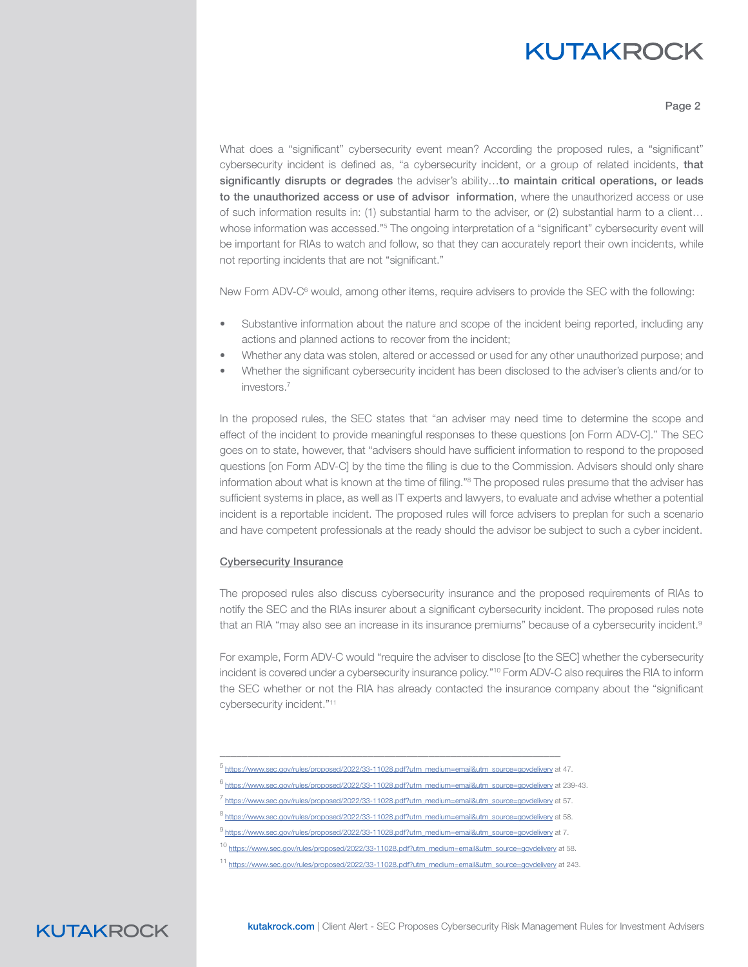### **KUTAKROCK**

Page 2

What does a "significant" cybersecurity event mean? According the proposed rules, a "significant" cybersecurity incident is defined as, "a cybersecurity incident, or a group of related incidents, that significantly disrupts or degrades the adviser's ability...to maintain critical operations, or leads to the unauthorized access or use of advisor information, where the unauthorized access or use of such information results in: (1) substantial harm to the adviser, or (2) substantial harm to a client… whose information was accessed."<sup>5</sup> The ongoing interpretation of a "significant" cybersecurity event will be important for RIAs to watch and follow, so that they can accurately report their own incidents, while not reporting incidents that are not "significant."

New Form ADV-C<sup>6</sup> would, among other items, require advisers to provide the SEC with the following:

- Substantive information about the nature and scope of the incident being reported, including any actions and planned actions to recover from the incident;
- Whether any data was stolen, altered or accessed or used for any other unauthorized purpose; and
- Whether the significant cybersecurity incident has been disclosed to the adviser's clients and/or to investors.7

In the proposed rules, the SEC states that "an adviser may need time to determine the scope and effect of the incident to provide meaningful responses to these questions [on Form ADV-C]." The SEC goes on to state, however, that "advisers should have sufficient information to respond to the proposed questions [on Form ADV-C] by the time the filing is due to the Commission. Advisers should only share information about what is known at the time of filing."8 The proposed rules presume that the adviser has sufficient systems in place, as well as IT experts and lawyers, to evaluate and advise whether a potential incident is a reportable incident. The proposed rules will force advisers to preplan for such a scenario and have competent professionals at the ready should the advisor be subject to such a cyber incident.

#### Cybersecurity Insurance

The proposed rules also discuss cybersecurity insurance and the proposed requirements of RIAs to notify the SEC and the RIAs insurer about a significant cybersecurity incident. The proposed rules note that an RIA "may also see an increase in its insurance premiums" because of a cybersecurity incident.<sup>9</sup>

For example, Form ADV-C would "require the adviser to disclose [to the SEC] whether the cybersecurity incident is covered under a cybersecurity insurance policy."10 Form ADV-C also requires the RIA to inform the SEC whether or not the RIA has already contacted the insurance company about the "significant cybersecurity incident."11

\_\_\_\_\_\_\_\_\_\_\_\_\_\_\_\_\_\_\_\_\_\_\_\_\_\_\_\_\_\_\_\_\_\_\_\_\_\_\_\_\_\_\_\_\_\_\_\_\_\_\_\_\_\_\_\_\_\_\_\_\_\_

**KUTAKROCK** 

https://www.sec.gov/rules/proposed/2022/33-11028.pdf?utm\_medium=email&utm\_source=govdelivery at 47.

<sup>6</sup> [https://www.sec.gov/rules/proposed/2022/33-11028.pdf?utm\\_medium=email&utm\\_source=govdelivery](https://www.sec.gov/rules/proposed/2022/33-11028.pdf?utm_medium=email&utm_source=govdelivery) at 239-43.

<sup>7&</sup>lt;br>https://www.sec.gov/rules/proposed/2022/33-11028.pdf?utm\_medium=email&utm\_source=govdelivery at 57.

<sup>8</sup> [https://www.sec.gov/rules/proposed/2022/33-11028.pdf?utm\\_medium=email&utm\\_source=govdelivery](https://www.sec.gov/rules/proposed/2022/33-11028.pdf?utm_medium=email&utm_source=govdelivery) at 58.

<sup>9</sup> [https://www.sec.gov/rules/proposed/2022/33-11028.pdf?utm\\_medium=email&utm\\_source=govdelivery](https://www.sec.gov/rules/proposed/2022/33-11028.pdf?utm_medium=email&utm_source=govdelivery) at 7.

<sup>10</sup> [https://www.sec.gov/rules/proposed/2022/33-11028.pdf?utm\\_medium=email&utm\\_source=govdelivery](https://www.sec.gov/rules/proposed/2022/33-11028.pdf?utm_medium=email&utm_source=govdelivery) at 58.

<sup>11</sup> [https://www.sec.gov/rules/proposed/2022/33-11028.pdf?utm\\_medium=email&utm\\_source=govdelivery](https://www.sec.gov/rules/proposed/2022/33-11028.pdf?utm_medium=email&utm_source=govdelivery) at 243.